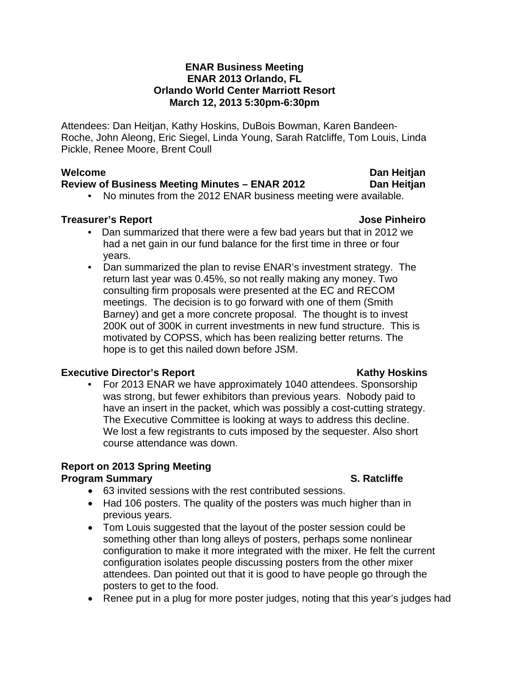## **ENAR Business Meeting ENAR 2013 Orlando, FL Orlando World Center Marriott Resort March 12, 2013 5:30pm-6:30pm**

Attendees: Dan Heitjan, Kathy Hoskins, DuBois Bowman, Karen Bandeen-Roche, John Aleong, Eric Siegel, Linda Young, Sarah Ratcliffe, Tom Louis, Linda Pickle, Renee Moore, Brent Coull

## Welcome **Dan Heitjan Dan Heitjan**

## **Review of Business Meeting Minutes – ENAR 2012 Dan Heitjan**

• No minutes from the 2012 ENAR business meeting were available.

## **Treasurer's Report Contract Contract Contract Contract Contract Contract Contract Contract Contract Contract Contract Contract Contract Contract Contract Contract Contract Contract Contract Contract Contract Contract Cont**

- Dan summarized that there were a few bad years but that in 2012 we had a net gain in our fund balance for the first time in three or four years.
- Dan summarized the plan to revise ENAR's investment strategy. The return last year was 0.45%, so not really making any money. Two consulting firm proposals were presented at the EC and RECOM meetings. The decision is to go forward with one of them (Smith Barney) and get a more concrete proposal. The thought is to invest 200K out of 300K in current investments in new fund structure. This is motivated by COPSS, which has been realizing better returns. The hope is to get this nailed down before JSM.

## **Executive Director's Report Action Activity Report Report Report Report Report Report Report Report Report Report Report Report Report Report Report Report Report Report Report Report Report Report Report Report Report Re**

• For 2013 ENAR we have approximately 1040 attendees. Sponsorship was strong, but fewer exhibitors than previous years. Nobody paid to have an insert in the packet, which was possibly a cost-cutting strategy. The Executive Committee is looking at ways to address this decline. We lost a few registrants to cuts imposed by the sequester. Also short course attendance was down.

# **Report on 2013 Spring Meeting**

## **Program Summary S. Ratcliffe**

- 63 invited sessions with the rest contributed sessions.
- Had 106 posters. The quality of the posters was much higher than in previous years.
- Tom Louis suggested that the layout of the poster session could be something other than long alleys of posters, perhaps some nonlinear configuration to make it more integrated with the mixer. He felt the current configuration isolates people discussing posters from the other mixer attendees. Dan pointed out that it is good to have people go through the posters to get to the food.
- Renee put in a plug for more poster judges, noting that this year's judges had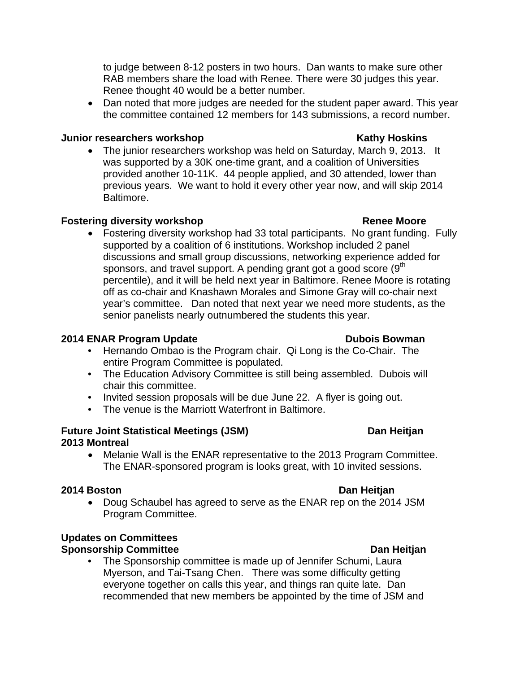to judge between 8-12 posters in two hours. Dan wants to make sure other RAB members share the load with Renee. There were 30 judges this year. Renee thought 40 would be a better number.

• Dan noted that more judges are needed for the student paper award. This year the committee contained 12 members for 143 submissions, a record number.

## **Junior researchers workshop Network Constructs and American Constructs Arizon Constructs Arizon Kathy Hoskins**

• The junior researchers workshop was held on Saturday, March 9, 2013. It was supported by a 30K one-time grant, and a coalition of Universities provided another 10-11K. 44 people applied, and 30 attended, lower than previous years. We want to hold it every other year now, and will skip 2014 Baltimore.

# **Fostering diversity workshop Community Constraining Renee Moore**

• Fostering diversity workshop had 33 total participants. No grant funding. Fully supported by a coalition of 6 institutions. Workshop included 2 panel discussions and small group discussions, networking experience added for sponsors, and travel support. A pending grant got a good score  $(9<sup>th</sup>$ percentile), and it will be held next year in Baltimore. Renee Moore is rotating off as co-chair and Knashawn Morales and Simone Gray will co-chair next year's committee. Dan noted that next year we need more students, as the senior panelists nearly outnumbered the students this year.

# **2014 ENAR Program Update COVID-10 COVID-10 Dubois Bowman**

- Hernando Ombao is the Program chair. Qi Long is the Co-Chair. The entire Program Committee is populated.
- The Education Advisory Committee is still being assembled. Dubois will chair this committee.
- Invited session proposals will be due June 22. A flyer is going out.
- The venue is the Marriott Waterfront in Baltimore.

## **Future Joint Statistical Meetings (JSM)** Dan Heitjan **2013 Montreal**

• Melanie Wall is the ENAR representative to the 2013 Program Committee. The ENAR-sponsored program is looks great, with 10 invited sessions.

# **2014 Boston Dan Heitjan**

• Doug Schaubel has agreed to serve as the ENAR rep on the 2014 JSM Program Committee.

# **Updates on Committees**

# **Sponsorship Committee Dan Heitjan Committee Committee Dan Heitjan Committee Dan Heitjan Committee Dan Heitjan Committee Dan Heitjan Committee Dan Heitjan Committee Dan Heitjan Committee Dan Heitjan Committee Dan Heitjan C**

• The Sponsorship committee is made up of Jennifer Schumi, Laura Myerson, and Tai-Tsang Chen. There was some difficulty getting everyone together on calls this year, and things ran quite late. Dan recommended that new members be appointed by the time of JSM and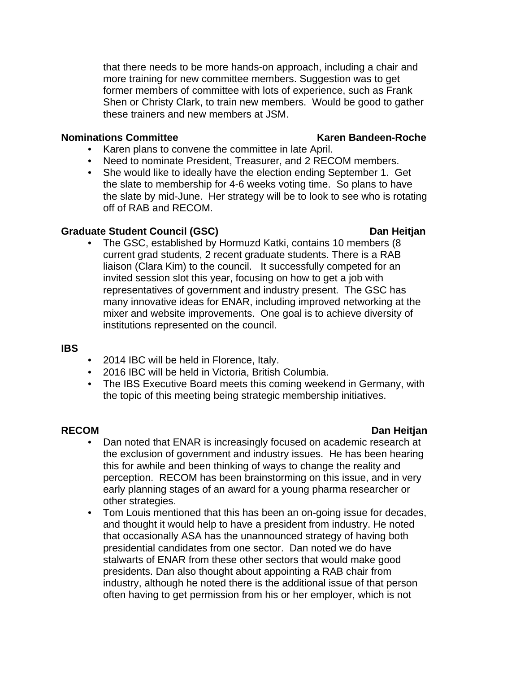that there needs to be more hands-on approach, including a chair and more training for new committee members. Suggestion was to get former members of committee with lots of experience, such as Frank Shen or Christy Clark, to train new members. Would be good to gather these trainers and new members at JSM.

## **Nominations Committee Karen Bandeen-Roche** Karen Bandeen-Roche

- Karen plans to convene the committee in late April.
- Need to nominate President, Treasurer, and 2 RECOM members.
- She would like to ideally have the election ending September 1. Get the slate to membership for 4-6 weeks voting time. So plans to have the slate by mid-June. Her strategy will be to look to see who is rotating off of RAB and RECOM.

## **Graduate Student Council (GSC) Dan Heitjan**

• The GSC, established by Hormuzd Katki, contains 10 members (8 current grad students, 2 recent graduate students. There is a RAB liaison (Clara Kim) to the council. It successfully competed for an invited session slot this year, focusing on how to get a job with representatives of government and industry present. The GSC has many innovative ideas for ENAR, including improved networking at the mixer and website improvements. One goal is to achieve diversity of institutions represented on the council.

## **IBS**

- 2014 IBC will be held in Florence, Italy.
- 2016 IBC will be held in Victoria, British Columbia.
- The IBS Executive Board meets this coming weekend in Germany, with the topic of this meeting being strategic membership initiatives.

## **RECOM** Dan Heitjan **Dan Heitjan**

- Dan noted that ENAR is increasingly focused on academic research at the exclusion of government and industry issues. He has been hearing this for awhile and been thinking of ways to change the reality and perception. RECOM has been brainstorming on this issue, and in very early planning stages of an award for a young pharma researcher or other strategies.
- Tom Louis mentioned that this has been an on-going issue for decades, and thought it would help to have a president from industry. He noted that occasionally ASA has the unannounced strategy of having both presidential candidates from one sector. Dan noted we do have stalwarts of ENAR from these other sectors that would make good presidents. Dan also thought about appointing a RAB chair from industry, although he noted there is the additional issue of that person often having to get permission from his or her employer, which is not